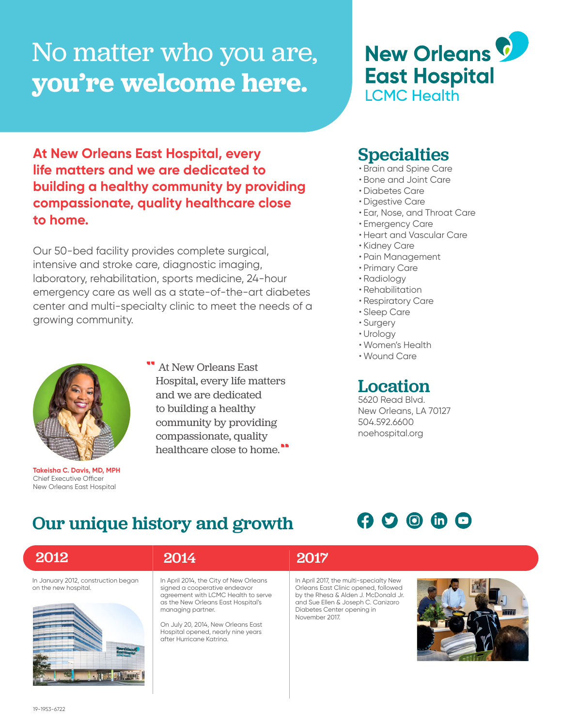# No matter who you are, **you're welcome here.**

# **East Hospital LCMC Health**

**New Orleans C** 

**At New Orleans East Hospital, every life matters and we are dedicated to building a healthy community by providing compassionate, quality healthcare close to home.**

Our 50-bed facility provides complete surgical, intensive and stroke care, diagnostic imaging, laboratory, rehabilitation, sports medicine, 24-hour emergency care as well as a state-of-the-art diabetes center and multi-specialty clinic to meet the needs of a growing community.



**Takeisha C. Davis, MD, MPH** Chief Executive Officer New Orleans East Hospital

At New Orleans East Hospital, every life matters and we are dedicated to building a healthy community by providing compassionate, quality healthcare close to home.

### **Specialties**

- Brain and Spine Care
- Bone and Joint Care
- Diabetes Care
- Digestive Care
- Ear, Nose, and Throat Care
- Emergency Care
- Heart and Vascular Care
- Kidney Care
- Pain Management
- Primary Care
- Radiology
- Rehabilitation
- Respiratory Care
- Sleep Care
- Surgery
- Urology
- Women's Health
- Wound Care

## Location

5620 Read Blvd. New Orleans, LA 70127 504.592.6600 noehospital.org

## Our unique history and growth

## $O$   $O$   $O$   $O$